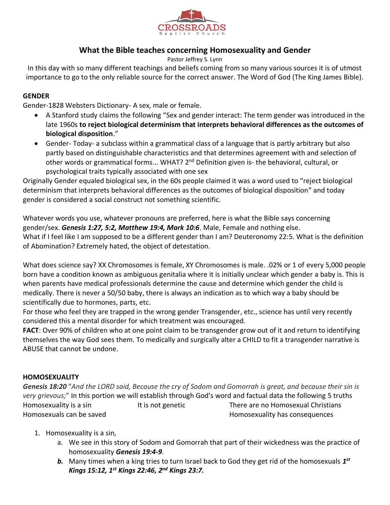

## **What the Bible teaches concerning Homosexuality and Gender**

Pastor Jeffrey S. Lynn

In this day with so many different teachings and beliefs coming from so many various sources it is of utmost importance to go to the only reliable source for the correct answer. The Word of God (The King James Bible).

## **GENDER**

Gender-1828 Websters Dictionary- A sex, male or female.

- A Stanford study claims the following "Sex and gender interact: The term gender was introduced in the late 1960s **to reject biological determinism that interprets behavioral differences as the outcomes of biological disposition**."
- Gender- Today- a subclass within a grammatical class of a language that is partly arbitrary but also partly based on distinguishable characteristics and that determines agreement with and selection of other words or grammatical forms... WHAT? 2<sup>nd</sup> Definition given is- the behavioral, cultural, or psychological traits typically associated with one sex

Originally Gender equaled biological sex, in the 60s people claimed it was a word used to "reject biological determinism that interprets behavioral differences as the outcomes of biological disposition" and today gender is considered a social construct not something scientific.

Whatever words you use, whatever pronouns are preferred, here is what the Bible says concerning gender/sex. *Genesis 1:27, 5:2, Matthew 19:4, Mark 10:6*. Male, Female and nothing else. What if I feel like I am supposed to be a different gender than I am? Deuteronomy 22:5. What is the definition of Abomination? Extremely hated, the object of detestation.

What does science say? XX Chromosomes is female, XY Chromosomes is male. .02% or 1 of every 5,000 people born have a condition known as ambiguous genitalia where it is initially unclear which gender a baby is. This is when parents have medical professionals determine the cause and determine which gender the child is medically. There is never a 50/50 baby, there is always an indication as to which way a baby should be scientifically due to hormones, parts, etc.

For those who feel they are trapped in the wrong gender Transgender, etc., science has until very recently considered this a mental disorder for which treatment was encouraged.

**FACT**: Over 90% of children who at one point claim to be transgender grow out of it and return to identifying themselves the way God sees them. To medically and surgically alter a CHILD to fit a transgender narrative is ABUSE that cannot be undone.

## **HOMOSEXUALITY**

*Genesis 18:20* "*And the LORD said, Because the cry of Sodom and Gomorrah is great, and because their sin is very grievous;*" In this portion we will establish through God's word and factual data the following 5 truths Homosexuality is a sin There are no Homosexual Christians Christians Homosexuals can be saved Homosexuality has consequences

- 1. Homosexuality is a sin,
	- a. We see in this story of Sodom and Gomorrah that part of their wickedness was the practice of homosexuality *Genesis 19:4-9*.
	- *b.* Many times when a king tries to turn Israel back to God they get rid of the homosexuals *1 st Kings 15:12, 1st Kings 22:46, 2nd Kings 23:7.*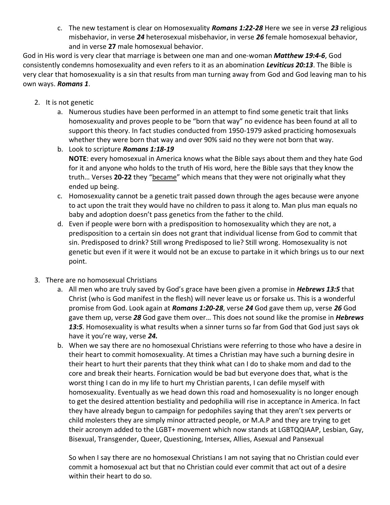c. The new testament is clear on Homosexuality *Romans 1:22-28* Here we see in verse *23* religious misbehavior, in verse *24* heterosexual misbehavior, in verse *26* female homosexual behavior, and in verse **27** male homosexual behavior.

God in His word is very clear that marriage is between one man and one-woman *Matthew 19:4-6*, God consistently condemns homosexuality and even refers to it as an abomination *Leviticus 20:13*. The Bible is very clear that homosexuality is a sin that results from man turning away from God and God leaving man to his own ways. *Romans 1*.

- 2. It is not genetic
	- a. Numerous studies have been performed in an attempt to find some genetic trait that links homosexuality and proves people to be "born that way" no evidence has been found at all to support this theory. In fact studies conducted from 1950-1979 asked practicing homosexuals whether they were born that way and over 90% said no they were not born that way.
	- b. Look to scripture *Romans 1:18-19* **NOTE**: every homosexual in America knows what the Bible says about them and they hate God for it and anyone who holds to the truth of His word, here the Bible says that they know the truth… Verses **20-22** they "became" which means that they were not originally what they ended up being.
	- c. Homosexuality cannot be a genetic trait passed down through the ages because were anyone to act upon the trait they would have no children to pass it along to. Man plus man equals no baby and adoption doesn't pass genetics from the father to the child.
	- d. Even if people were born with a predisposition to homosexuality which they are not, a predisposition to a certain sin does not grant that individual license from God to commit that sin. Predisposed to drink? Still wrong Predisposed to lie? Still wrong. Homosexuality is not genetic but even if it were it would not be an excuse to partake in it which brings us to our next point.
- 3. There are no homosexual Christians
	- a. All men who are truly saved by God's grace have been given a promise in *Hebrews 13:5* that Christ (who is God manifest in the flesh) will never leave us or forsake us. This is a wonderful promise from God. Look again at *Romans 1:20-28*, verse *24* God gave them up, verse *26* God gave them up, verse *28* God gave them over… This does not sound like the promise in *Hebrews 13:5*. Homosexuality is what results when a sinner turns so far from God that God just says ok have it you're way, verse *24.*
	- b. When we say there are no homosexual Christians were referring to those who have a desire in their heart to commit homosexuality. At times a Christian may have such a burning desire in their heart to hurt their parents that they think what can I do to shake mom and dad to the core and break their hearts. Fornication would be bad but everyone does that, what is the worst thing I can do in my life to hurt my Christian parents, I can defile myself with homosexuality. Eventually as we head down this road and homosexuality is no longer enough to get the desired attention bestiality and pedophilia will rise in acceptance in America. In fact they have already begun to campaign for pedophiles saying that they aren't sex perverts or child molesters they are simply minor attracted people, or M.A.P and they are trying to get their acronym added to the LGBT+ movement which now stands at LGBTQQIAAP, Lesbian, Gay, Bisexual, Transgender, Queer, Questioning, Intersex, Allies, Asexual and Pansexual

So when I say there are no homosexual Christians I am not saying that no Christian could ever commit a homosexual act but that no Christian could ever commit that act out of a desire within their heart to do so.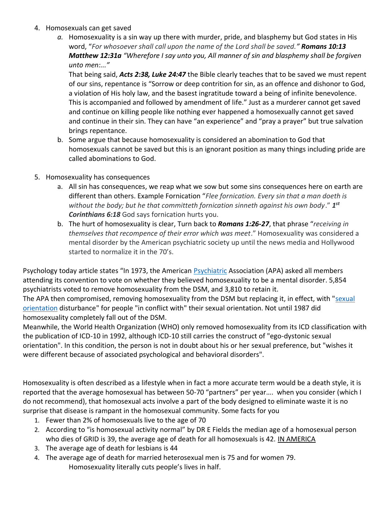- 4. Homosexuals can get saved
	- *a.* Homosexuality is a sin way up there with murder, pride, and blasphemy but God states in His word, "*For whosoever shall call upon the name of the Lord shall be saved." Romans 10:13 Matthew 12:31a "Wherefore I say unto you, All manner of sin and blasphemy shall be forgiven unto men:..."*

That being said, *Acts 2:38, Luke 24:47* the Bible clearly teaches that to be saved we must repent of our sins, repentance is "Sorrow or deep contrition for sin, as an offence and dishonor to God, a violation of His holy law, and the basest ingratitude toward a being of infinite benevolence. This is accompanied and followed by amendment of life." Just as a murderer cannot get saved and continue on killing people like nothing ever happened a homosexually cannot get saved and continue in their sin. They can have "an experience" and "pray a prayer" but true salvation brings repentance.

- b. Some argue that because homosexuality is considered an abomination to God that homosexuals cannot be saved but this is an ignorant position as many things including pride are called abominations to God.
- 5. Homosexuality has consequences
	- a. All sin has consequences, we reap what we sow but some sins consequences here on earth are different than others. Example Fornication "*Flee fornication. Every sin that a man doeth is without the body; but he that committeth fornication sinneth against his own body*." *1 st Corinthians 6:18* God says fornication hurts you.
	- b. The hurt of homosexuality is clear, Turn back to *Romans 1:26-27*, that phrase "*receiving in themselves that recompence of their error which was meet*." Homosexuality was considered a mental disorder by the American psychiatric society up until the news media and Hollywood started to normalize it in the 70's.

Psychology today article states "In 1973, the American [Psychiatric](https://www.psychologytoday.com/us/basics/psychiatry) Association (APA) asked all members attending its convention to vote on whether they believed homosexuality to be a mental disorder. 5,854 psychiatrists voted to remove homosexuality from the DSM, and 3,810 to retain it.

The APA then compromised, removing homosexuality from the DSM but replacing it, in effect, with ["sexual](https://www.psychologytoday.com/us/basics/homosexuality)  [orientation](https://www.psychologytoday.com/us/basics/homosexuality) disturbance" for people "in conflict with" their sexual orientation. Not until 1987 did homosexuality completely fall out of the DSM.

Meanwhile, the World Health Organization (WHO) only removed homosexuality from its ICD classification with the publication of ICD-10 in 1992, although ICD-10 still carries the construct of "ego-dystonic sexual orientation". In this condition, the person is not in doubt about his or her sexual preference, but "wishes it were different because of associated psychological and behavioral disorders".

Homosexuality is often described as a lifestyle when in fact a more accurate term would be a death style, it is reported that the average homosexual has between 50-70 "partners" per year…. when you consider (which I do not recommend), that homosexual acts involve a part of the body designed to eliminate waste it is no surprise that disease is rampant in the homosexual community. Some facts for you

- 1. Fewer than 2% of homosexuals live to the age of 70
- 2. According to "is homosexual activity normal" by DR E Fields the median age of a homosexual person who dies of GRID is 39, the average age of death for all homosexuals is 42. IN AMERICA
- 3. The average age of death for lesbians is 44
- 4. The average age of death for married heterosexual men is 75 and for women 79. Homosexuality literally cuts people's lives in half.